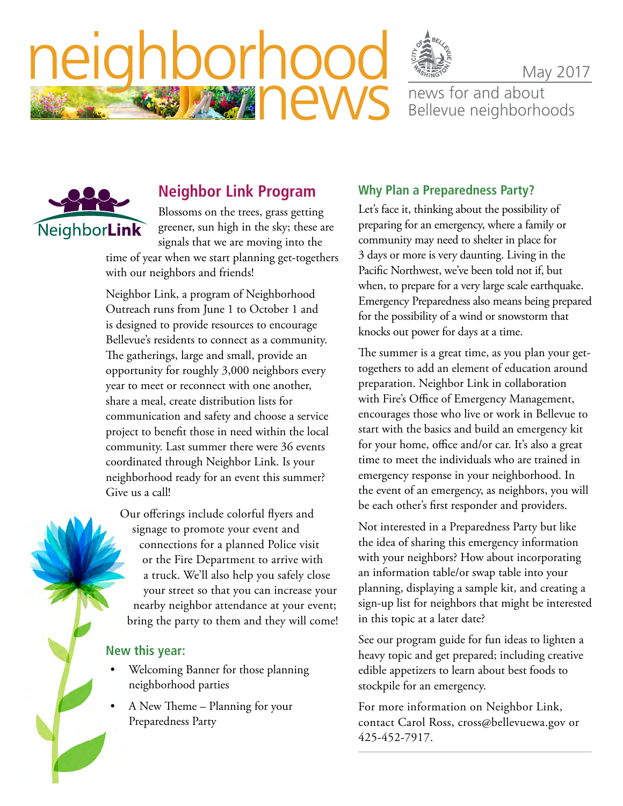

May 2017

news for and about Bellevue neighborhoods



eld

## **Neighbor Link Program**

borhor

**BASA TEW** 

Blossoms on the trees, grass getting greener, sun high in the sky; these are signals that we are moving into the time of year when we start planning get-togethers

with our neighbors and friends!

Neighbor Link, a program of Neighborhood Outreach runs from June 1 to October 1 and is designed to provide resources to encourage Bellevue's residents to connect as a community. The gatherings, large and small, provide an opportunity for roughly 3,000 neighbors every year to meet or reconnect with one another, share a meal, create distribution lists for communication and safety and choose a service project to benefit those in need within the local community. Last summer there were 36 events coordinated through Neighbor Link. Is your neighborhood ready for an event this summer? Give us a call!

Our offerings include colorful flyers and signage to promote your event and connections for a planned Police visit or the Fire Department to arrive with a truck. We'll also help you safely close your street so that you can increase your nearby neighbor attendance at your event; bring the party to them and they will come!

#### **New this year:**

- Welcoming Banner for those planning neighborhood parties
- A New Theme Planning for your Preparedness Party

#### **Why Plan a Preparedness Party?**

Let's face it, thinking about the possibility of preparing for an emergency, where a family or community may need to shelter in place for 3 days or more is very daunting. Living in the Pacific Northwest, we've been told not if, but when, to prepare for a very large scale earthquake. Emergency Preparedness also means being prepared for the possibility of a wind or snowstorm that knocks out power for days at a time.

The summer is a great time, as you plan your gettogethers to add an element of education around preparation. Neighbor Link in collaboration with Fire's Office of Emergency Management, encourages those who live or work in Bellevue to start with the basics and build an emergency kit for your home, office and/or car. It's also a great time to meet the individuals who are trained in emergency response in your neighborhood. In the event of an emergency, as neighbors, you will be each other's first responder and providers.

Not interested in a Preparedness Party but like the idea of sharing this emergency information with your neighbors? How about incorporating an information table/or swap table into your planning, displaying a sample kit, and creating a sign-up list for neighbors that might be interested in this topic at a later date?

See our program guide for fun ideas to lighten a heavy topic and get prepared; including creative edible appetizers to learn about best foods to stockpile for an emergency.

For more information on Neighbor Link, contact Carol Ross, [cross@bellevuewa.gov](mailto:cross@bellevuewa.gov) or 425-452-7917.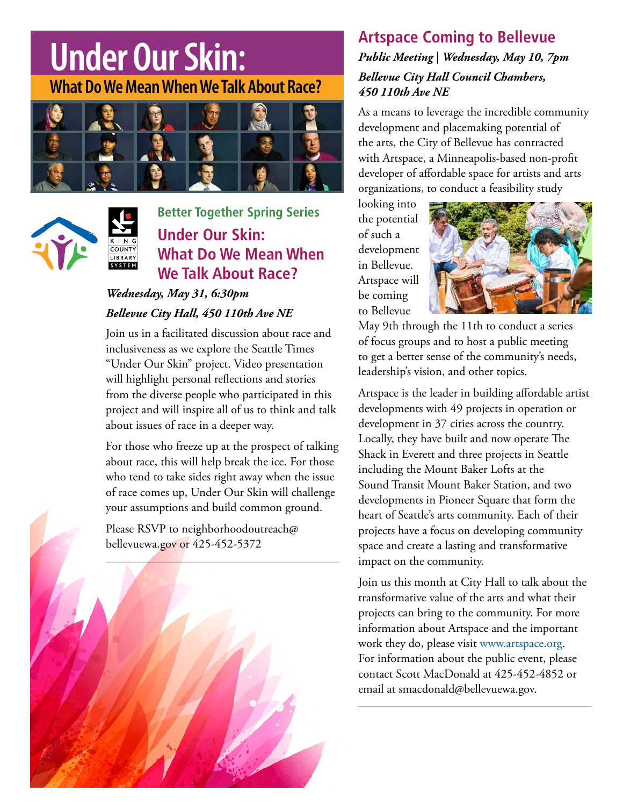## **Under Our Skin: What Do We Mean When We Talk About Race?**





**Better Together Spring Series Property Skin: Under Our Skin: EXECUTER WHAT DO WE Mean When** *We Talk About Race?* **inclusive** as we expect the Seattle Times  $\mathbf{L}$ Skin" project. Video presentation will highlight personal  $p_{n}$  in the strate and will inspire and will inspire and will inspire and will inspire all of us to think  $p_{n}$  $F = \frac{F}{T}$  for the problems  $F = \frac{F}{T}$  $\mathbf{r}$  sides right and in race comes up,  $\mathbf{r}$ **May 31, 2017** Kace*:*

#### Wednesday, May 31, 6:30pm Bellevue City Hall, 450 110th Ave NE common ground. Bellevue City Hall, 450 110th Ave **I**

Join us in a facilitated discussion about race and **Registration required by contacting:** inclusiveness as we explore the Seattle Times "Under Our Skin" project. Video presentation will highlight personal reflections and stories from the diverse people who participated in this from the diverse people who participated in this<br>project and will inspire all of us to think and talk about issues of race in a deeper way. re<br>e v<br>al **COLOR COLOR** 

> For those who freeze up at the prospect of talking about race, this will help break the ice. For those who tend to take sides right away when the issue of race comes up, Under Our Skin will challenge your assumptions and build common ground.

Please RSVP to [neighborhoodoutreach@](mailto:neighborhoodoutreach@bellevuewa.gov) [bellevuewa.gov](mailto:neighborhoodoutreach@bellevuewa.gov) or 425-452-5372



## **Artspace Coming to Bellevue** *Public Meeting | Wednesday, May 10, 7pm Bellevue City Hall Council Chambers, 450 110th Ave NE*

As a means to leverage the incredible community development and placemaking potential of the arts, the City of Bellevue has contracted with Artspace, a Minneapolis-based non-profit developer of affordable space for artists and arts organizations, to conduct a feasibility study

looking into the potential of such a development in Bellevue. Artspace will be coming to Bellevue



May 9th through the 11th to conduct a series of focus groups and to host a public meeting to get a better sense of the community's needs, leadership's vision, and other topics.

Artspace is the leader in building affordable artist developments with 49 projects in operation or development in 37 cities across the country. Locally, they have built and now operate The Shack in Everett and three projects in Seattle including the Mount Baker Lofts at the Sound Transit Mount Baker Station, and two developments in Pioneer Square that form the heart of Seattle's arts community. Each of their projects have a focus on developing community space and create a lasting and transformative impact on the community.

Join us this month at City Hall to talk about the transformative value of the arts and what their projects can bring to the community. For more information about Artspace and the important work they do, please visit [www.artspace.org.](http://www.artspace.org) For information about the public event, please contact Scott MacDonald at 425-452-4852 or email at [smacdonald@bellevuewa.gov.](mailto:smacdonald@bellevuewa.gov)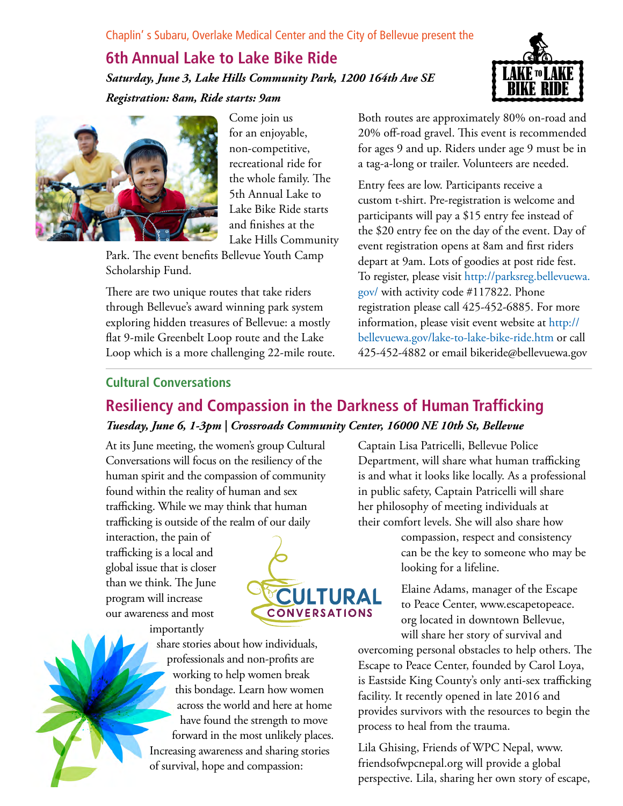## **6th Annual Lake to Lake Bike Ride** *Saturday, June 3, Lake Hills Community Park, 1200 164th Ave SE Registration: 8am, Ride starts: 9am*



Come join us for an enjoyable, non-competitive, recreational ride for the whole family. The 5th Annual Lake to Lake Bike Ride starts and finishes at the Lake Hills Community

Park. The event benefits Bellevue Youth Camp Scholarship Fund.

There are two unique routes that take riders through Bellevue's award winning park system exploring hidden treasures of Bellevue: a mostly flat 9-mile Greenbelt Loop route and the Lake Loop which is a more challenging 22-mile route.



Both routes are approximately 80% on-road and 20% off-road gravel. This event is recommended for ages 9 and up. Riders under age 9 must be in a tag-a-long or trailer. Volunteers are needed.

Entry fees are low. Participants receive a custom t-shirt. Pre-registration is welcome and participants will pay a \$15 entry fee instead of the \$20 entry fee on the day of the event. Day of event registration opens at 8am and first riders depart at 9am. Lots of goodies at post ride fest. To register, please visit [http://parksreg.bellevuewa.](http://parksreg.bellevuewa.gov/) [gov/](http://parksreg.bellevuewa.gov/) with activity code #117822. Phone registration please call 425-452-6885. For more information, please visit event website at [http://](http://bellevuewa.gov/lake-to-lake-bike-ride.htm) [bellevuewa.gov/lake-to-lake-bike-ride.htm](http://bellevuewa.gov/lake-to-lake-bike-ride.htm) or call 425-452-4882 or email [bikeride@bellevuewa.gov](mailto:bikeride@bellevuewa.gov)

#### **Cultural Conversations**

## **Resiliency and Compassion in the Darkness of Human Trafficking** *Tuesday, June 6, 1-3pm | Crossroads Community Center, 16000 NE 10th St, Bellevue*

At its June meeting, the women's group Cultural Conversations will focus on the resiliency of the human spirit and the compassion of community found within the reality of human and sex trafficking. While we may think that human trafficking is outside of the realm of our daily

interaction, the pain of trafficking is a local and global issue that is closer than we think. The June program will increase our awareness and most importantly



share stories about how individuals, professionals and non-profits are working to help women break this bondage. Learn how women across the world and here at home have found the strength to move forward in the most unlikely places. Increasing awareness and sharing stories of survival, hope and compassion:

Captain Lisa Patricelli, Bellevue Police Department, will share what human trafficking is and what it looks like locally. As a professional in public safety, Captain Patricelli will share her philosophy of meeting individuals at their comfort levels. She will also share how

compassion, respect and consistency can be the key to someone who may be looking for a lifeline.

Elaine Adams, manager of the Escape to Peace Center, [www.escapetopeace.](http://www.escapetopeace.org) [org](http://www.escapetopeace.org) located in downtown Bellevue, will share her story of survival and

overcoming personal obstacles to help others. The Escape to Peace Center, founded by Carol Loya, is Eastside King County's only anti-sex trafficking facility. It recently opened in late 2016 and provides survivors with the resources to begin the process to heal from the trauma.

Lila Ghising, Friends of WPC Nepal, [www.](http://www.friendsofwpcnepal.org) [friendsofwpcnepal.org](http://www.friendsofwpcnepal.org) will provide a global perspective. Lila, sharing her own story of escape,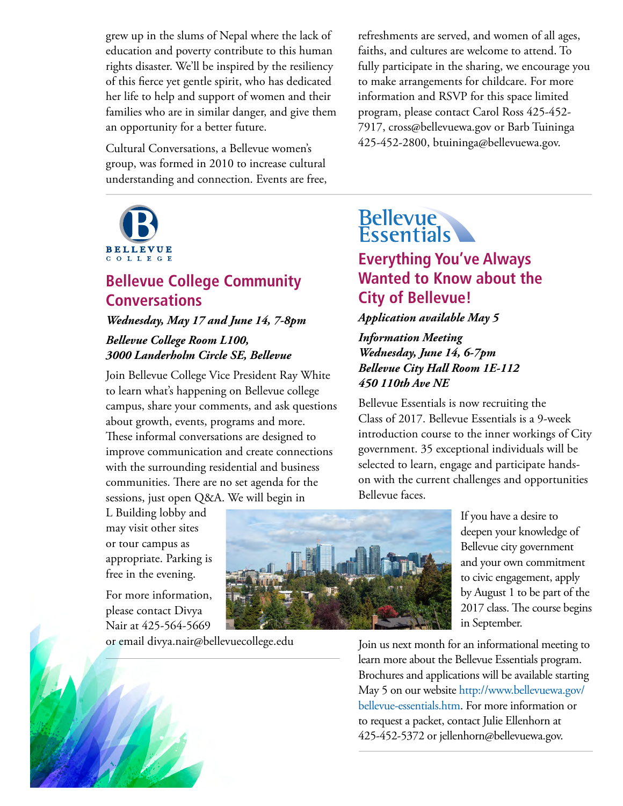grew up in the slums of Nepal where the lack of education and poverty contribute to this human rights disaster. We'll be inspired by the resiliency of this fierce yet gentle spirit, who has dedicated her life to help and support of women and their families who are in similar danger, and give them an opportunity for a better future.

Cultural Conversations, a Bellevue women's group, was formed in 2010 to increase cultural understanding and connection. Events are free,



## **Bellevue College Community Conversations**

### *Wednesday, May 17 and June 14, 7-8pm Bellevue College Room L100, 3000 Landerholm Circle SE, Bellevue*

Join Bellevue College Vice President Ray White to learn what's happening on Bellevue college campus, share your comments, and ask questions about growth, events, programs and more. These informal conversations are designed to improve communication and create connections with the surrounding residential and business communities. There are no set agenda for the sessions, just open Q&A. We will begin in

L Building lobby and may visit other sites or tour campus as appropriate. Parking is free in the evening.

For more information, please contact Divya Nair at 425-564-5669

or email [divya.nair@bellevuecollege.edu](mailto:divya.nair@bellevuecollege.edu)



# **Bellevue**<br>Essentials

## **Everything You've Always Wanted to Know about the City of Bellevue!**

#### *Application available May 5*

#### *Information Meeting Wednesday, June 14, 6-7pm Bellevue City Hall Room 1E-112 450 110th Ave NE*

Bellevue Essentials is now recruiting the Class of 2017. Bellevue Essentials is a 9-week introduction course to the inner workings of City government. 35 exceptional individuals will be selected to learn, engage and participate handson with the current challenges and opportunities Bellevue faces.



If you have a desire to deepen your knowledge of Bellevue city government and your own commitment to civic engagement, apply by August 1 to be part of the 2017 class. The course begins in September.

Join us next month for an informational meeting to learn more about the Bellevue Essentials program. Brochures and applications will be available starting May 5 on our website [http://www.bellevuewa.gov/](http://www.bellevuewa.gov/bellevue-essentials.htm) [bellevue-essentials.htm](http://www.bellevuewa.gov/bellevue-essentials.htm). For more information or to request a packet, contact Julie Ellenhorn at 425-452-5372 or [jellenhorn@bellevuewa.gov.](mailto:jellenhorn@bellevuewa.gov)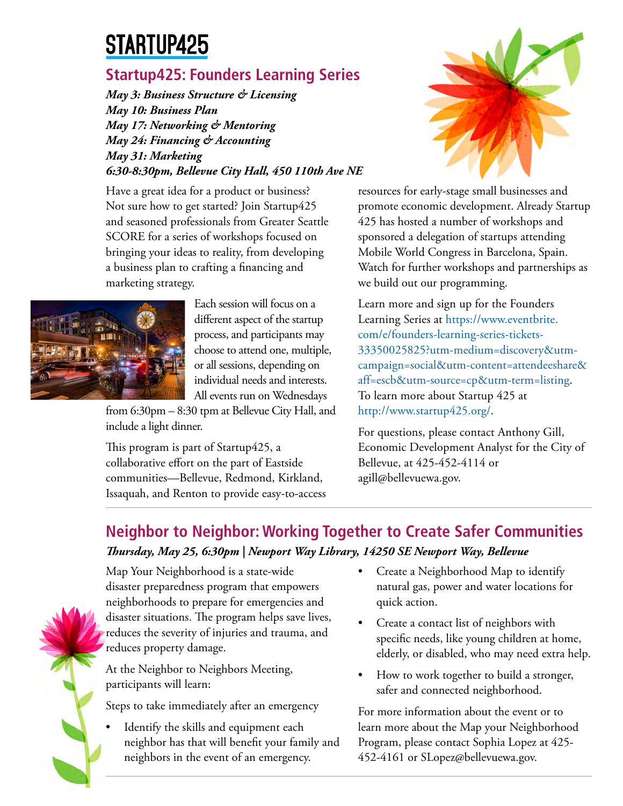## STARTUP425

## **Startup425: Founders Learning Series**

*May 3: Business Structure & Licensing May 10: Business Plan May 17: Networking & Mentoring May 24: Financing & Accounting May 31: Marketing 6:30-8:30pm, Bellevue City Hall, 450 110th Ave NE*

Have a great idea for a product or business? Not sure how to get started? Join Startup425 and seasoned professionals from Greater Seattle SCORE for a series of workshops focused on bringing your ideas to reality, from developing a business plan to crafting a financing and marketing strategy.



Each session will focus on a different aspect of the startup process, and participants may choose to attend one, multiple, or all sessions, depending on individual needs and interests. All events run on Wednesdays

from 6:30pm – 8:30 tpm at Bellevue City Hall, and include a light dinner.

This program is part of Startup425, a collaborative effort on the part of Eastside communities—Bellevue, Redmond, Kirkland, Issaquah, and Renton to provide easy-to-access



resources for early-stage small businesses and promote economic development. Already Startup 425 has hosted a number of workshops and sponsored a delegation of startups attending Mobile World Congress in Barcelona, Spain. Watch for further workshops and partnerships as we build out our programming.

Learn more and sign up for the Founders Learning Series at [https://www.eventbrite.](https://www.eventbrite.com/e/founders-learning-series-tickets-33350025825?utm-medium=discovery&utm-campaign=social&utm-content=attendeeshare&aff=escb&utm-source=cp&utm-term=listing) [com/e/founders-learning-series-tickets-](https://www.eventbrite.com/e/founders-learning-series-tickets-33350025825?utm-medium=discovery&utm-campaign=social&utm-content=attendeeshare&aff=escb&utm-source=cp&utm-term=listing)[33350025825?utm-medium=discovery&utm](https://www.eventbrite.com/e/founders-learning-series-tickets-33350025825?utm-medium=discovery&utm-campaign=social&utm-content=attendeeshare&aff=escb&utm-source=cp&utm-term=listing)[campaign=social&utm-content=attendeeshare&](https://www.eventbrite.com/e/founders-learning-series-tickets-33350025825?utm-medium=discovery&utm-campaign=social&utm-content=attendeeshare&aff=escb&utm-source=cp&utm-term=listing) [aff=escb&utm-source=cp&utm-term=listing.](https://www.eventbrite.com/e/founders-learning-series-tickets-33350025825?utm-medium=discovery&utm-campaign=social&utm-content=attendeeshare&aff=escb&utm-source=cp&utm-term=listing) To learn more about Startup 425 at <http://www.startup425.org/>.

For questions, please contact Anthony Gill, Economic Development Analyst for the City of Bellevue, at 425-452-4114 or [agill@bellevuewa.gov](mailto:agill@bellevuewa.gov).

## **Neighbor to Neighbor: Working Together to Create Safer Communities** *Thursday, May 25, 6:30pm | Newport Way Library, 14250 SE Newport Way, Bellevue*



Map Your Neighborhood is a state-wide disaster preparedness program that empowers neighborhoods to prepare for emergencies and disaster situations. The program helps save lives, reduces the severity of injuries and trauma, and reduces property damage.

At the Neighbor to Neighbors Meeting, participants will learn:

Steps to take immediately after an emergency

Identify the skills and equipment each neighbor has that will benefit your family and neighbors in the event of an emergency.

- Create a Neighborhood Map to identify natural gas, power and water locations for quick action.
- Create a contact list of neighbors with specific needs, like young children at home, elderly, or disabled, who may need extra help.
- How to work together to build a stronger, safer and connected neighborhood.

For more information about the event or to learn more about the Map your Neighborhood Program, please contact Sophia Lopez at 425- 452-4161 or SLopez@bellevuewa.gov.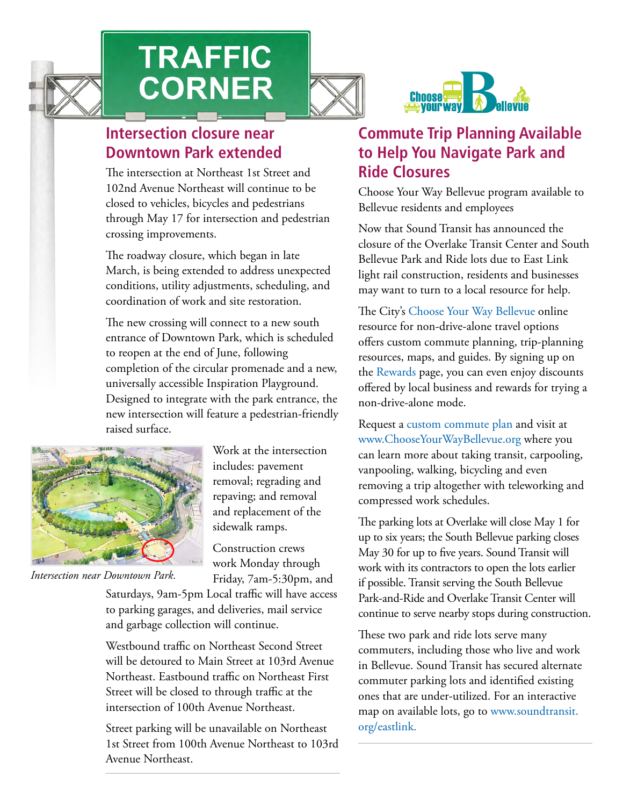

# **TRAFFIC CORNER**





## **Intersection closure near Downtown Park extended**

The intersection at Northeast 1st Street and 102nd Avenue Northeast will continue to be closed to vehicles, bicycles and pedestrians through May 17 for intersection and pedestrian crossing improvements.

The roadway closure, which began in late March, is being extended to address unexpected conditions, utility adjustments, scheduling, and coordination of work and site restoration.

The new crossing will connect to a new south entrance of Downtown Park, which is scheduled to reopen at the end of June, following completion of the circular promenade and a new, universally accessible Inspiration Playground. Designed to integrate with the park entrance, the new intersection will feature a pedestrian-friendly raised surface.



includes: pavement removal; regrading and repaving; and removal and replacement of the sidewalk ramps.

Work at the intersection

Construction crews work Monday through Friday, 7am-5:30pm, and

*Intersection near Downtown Park.*

Saturdays, 9am-5pm Local traffic will have access to parking garages, and deliveries, mail service and garbage collection will continue.

Westbound traffic on Northeast Second Street will be detoured to Main Street at 103rd Avenue Northeast. Eastbound traffic on Northeast First Street will be closed to through traffic at the intersection of 100th Avenue Northeast.

Street parking will be unavailable on Northeast 1st Street from 100th Avenue Northeast to 103rd Avenue Northeast.

## **Commute Trip Planning Available to Help You Navigate Park and Ride Closures**

Choose Your Way Bellevue program available to Bellevue residents and employees

Now that Sound Transit has announced the closure of the Overlake Transit Center and South Bellevue Park and Ride lots due to East Link light rail construction, residents and businesses may want to turn to a local resource for help.

The City's [Choose Your Way Bellevue](http://www.chooseyourwaybellevue.org) online resource for non-drive-alone travel options offers custom commute planning, trip-planning resources, maps, and guides. By signing up on the [Rewards](http://www.chooseyourwaybellevue.org/rewards) page, you can even enjoy discounts offered by local business and rewards for trying a non-drive-alone mode.

Request a [custom commute plan](http://www.chooseyourwaybellevue.org/commute-inquiry) and visit at [www.ChooseYourWayBellevue.org](http://www.ChooseYourWayBellevue.org) where you can learn more about taking transit, carpooling, vanpooling, walking, bicycling and even removing a trip altogether with teleworking and compressed work schedules.

The parking lots at Overlake will close May 1 for up to six years; the South Bellevue parking closes May 30 for up to five years. Sound Transit will work with its contractors to open the lots earlier if possible. Transit serving the South Bellevue Park-and-Ride and Overlake Transit Center will continue to serve nearby stops during construction.

These two park and ride lots serve many commuters, including those who live and work in Bellevue. Sound Transit has secured alternate commuter parking lots and identified existing ones that are under-utilized. For an interactive map on available lots, go to [www.soundtransit.](http://www.soundtransit.org/eastlink) [org/eastlink.](http://www.soundtransit.org/eastlink)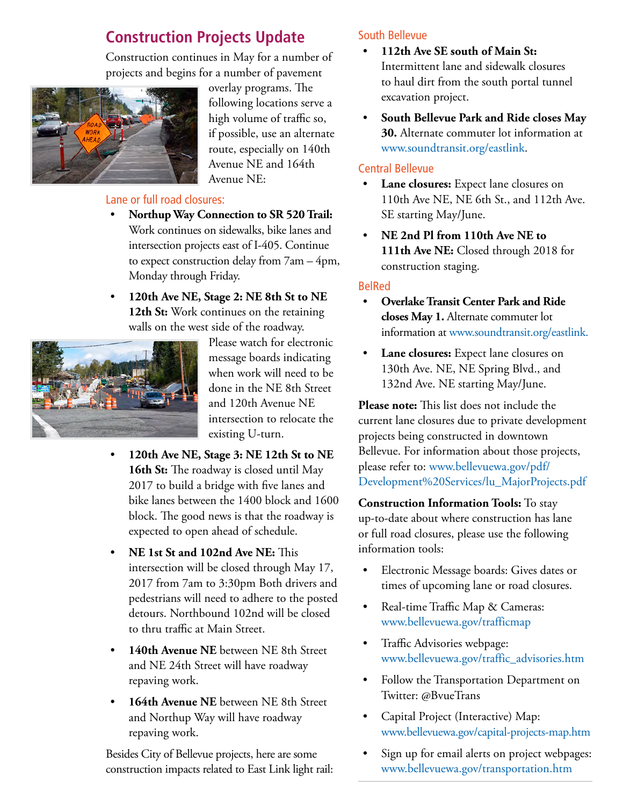## **Construction Projects Update**

Construction continues in May for a number of projects and begins for a number of pavement



overlay programs. The following locations serve a high volume of traffic so, if possible, use an alternate route, especially on 140th Avenue NE and 164th Avenue NE:

#### Lane or full road closures:

- **Northup Way Connection to SR 520 Trail:**  Work continues on sidewalks, bike lanes and intersection projects east of I-405. Continue to expect construction delay from 7am – 4pm, Monday through Friday.
- **120th Ave NE, Stage 2: NE 8th St to NE 12th St:** Work continues on the retaining walls on the west side of the roadway.



Please watch for electronic message boards indicating when work will need to be done in the NE 8th Street and 120th Avenue NE intersection to relocate the existing U-turn.

- **120th Ave NE, Stage 3: NE 12th St to NE**  16th St: The roadway is closed until May 2017 to build a bridge with five lanes and bike lanes between the 1400 block and 1600 block. The good news is that the roadway is expected to open ahead of schedule.
- **NE 1st St and 102nd Ave NE:** This intersection will be closed through May 17, 2017 from 7am to 3:30pm Both drivers and pedestrians will need to adhere to the posted detours. Northbound 102nd will be closed to thru traffic at Main Street.
- 140th Avenue NE between NE 8th Street and NE 24th Street will have roadway repaving work.
- 164th Avenue NE between NE 8th Street and Northup Way will have roadway repaving work.

Besides City of Bellevue projects, here are some construction impacts related to East Link light rail:

#### South Bellevue

- **112th Ave SE south of Main St:** Intermittent lane and sidewalk closures to haul dirt from the south portal tunnel excavation project.
- **South Bellevue Park and Ride closes May 30.** Alternate commuter lot information at [www.soundtransit.org/eastlink.](http://www.soundtransit.org/eastlink)

#### Central Bellevue

- Lane closures: Expect lane closures on 110th Ave NE, NE 6th St., and 112th Ave. SE starting May/June.
- **NE 2nd Pl from 110th Ave NE to 111th Ave NE:** Closed through 2018 for construction staging.

#### BelRed

- **Overlake Transit Center Park and Ride closes May 1.** Alternate commuter lot information at [www.soundtransit.org/eastlink.](http://www.soundtransit.org/eastlink)
- **Lane closures:** Expect lane closures on 130th Ave. NE, NE Spring Blvd., and 132nd Ave. NE starting May/June.

**Please note:** This list does not include the current lane closures due to private development projects being constructed in downtown Bellevue. For information about those projects, please refer to: [www.bellevuewa.gov/pdf/](http://www.bellevuewa.gov/pdf/Development%20Services/lu_MajorProjects.pdf) [Development%20Services/lu\\_MajorProjects.pdf](http://www.bellevuewa.gov/pdf/Development%20Services/lu_MajorProjects.pdf)

**Construction Information Tools:** To stay up-to-date about where construction has lane or full road closures, please use the following information tools:

- Electronic Message boards: Gives dates or times of upcoming lane or road closures.
- Real-time Traffic Map & Cameras: [www.bellevuewa.gov/trafficmap](http://www.bellevuewa.gov/trafficmap)
- Traffic Advisories webpage: [www.bellevuewa.gov/traffic\\_advisories.htm](http://www.bellevuewa.gov/traffic_advisories.htm)
- Follow the Transportation Department on Twitter: @BvueTrans
- Capital Project (Interactive) Map: [www.bellevuewa.gov/capital-projects-map.htm](http://www.bellevuewa.gov/capital-projects-map.htm)
- Sign up for email alerts on project webpages: [www.bellevuewa.gov/transportation.htm](http://www.bellevuewa.gov/transportation.htm)